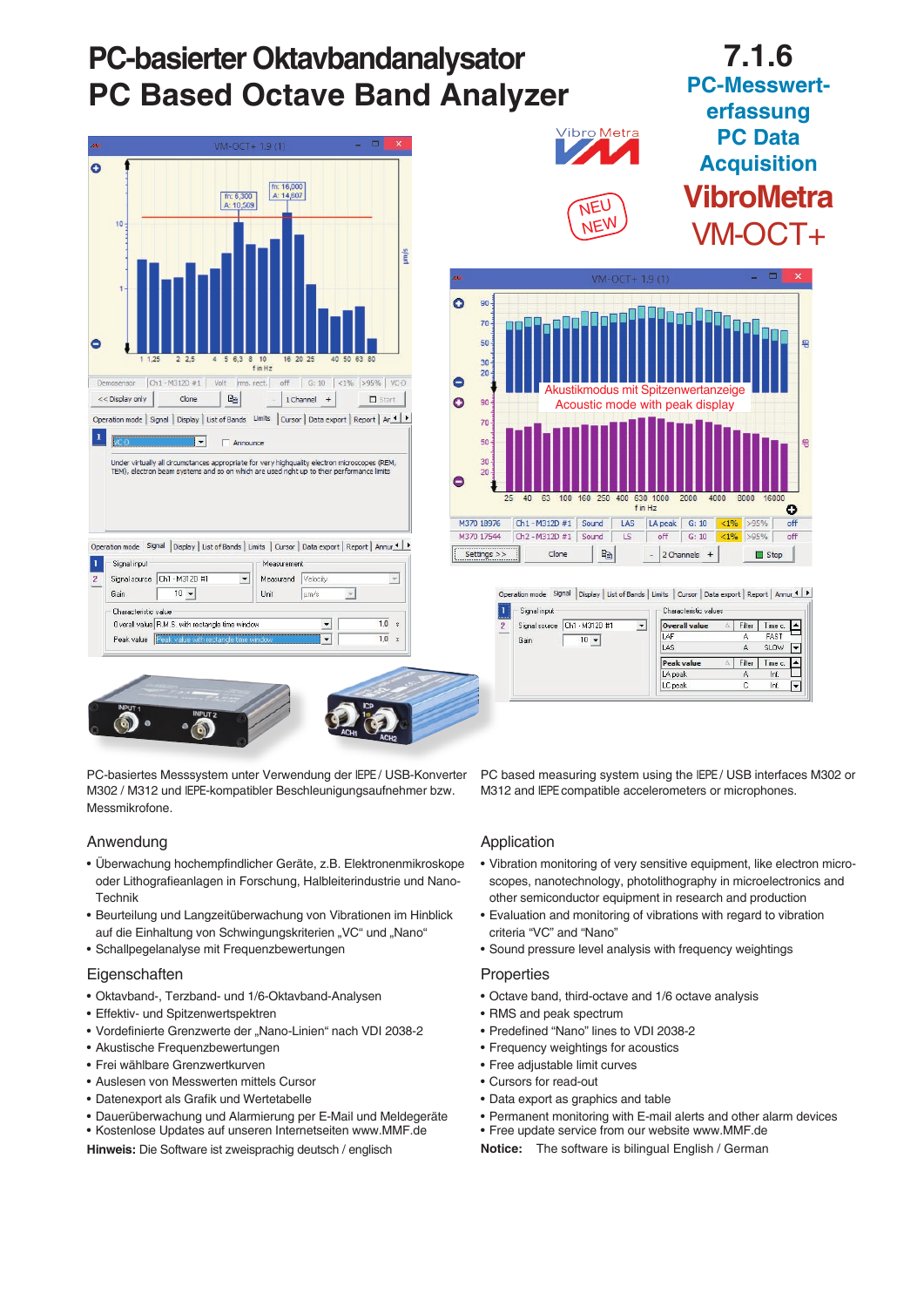

PC-basiertes Messsystem unter Verwendung der IEPE / USB-Konverter M302 / M312 und IEPE-kompatibler Beschleunigungsaufnehmer bzw. Messmikrofone.

Anwendung

- Überwachung hochempfindlicher Geräte, z.B. Elektronenmikroskope oder Lithografieanlagen in Forschung, Halbleiterindustrie und Nano-Technik
- Beurteilung und Langzeitüberwachung von Vibrationen im Hinblick auf die Einhaltung von Schwingungskriterien "VC" und "Nano"
- Schallpegelanalyse mit Frequenzbewertungen

## **Eigenschaften**

- Oktavband-, Terzband- und 1/6-Oktavband-Analysen
- Effektiv- und Spitzenwertspektren
- Vordefinierte Grenzwerte der "Nano-Linien" nach VDI 2038-2
- Akustische Frequenzbewertungen
- Frei wählbare Grenzwertkurven
- Auslesen von Messwerten mittels Cursor
- Datenexport als Grafik und Wertetabelle
- Dauerüberwachung und Alarmierung per E-Mail und Meldegeräte
- Kostenlose Updates auf unseren Internetseiten www.MMF.de

**Hinweis:** Die Software ist zweisprachig deutsch / englisch

PC based measuring system using the IEPE / USB interfaces M302 or M312 and IEPE compatible accelerometers or microphones.

## Application

- Vibration monitoring of very sensitive equipment, like electron microscopes, nanotechnology, photolithography in microelectronics and other semiconductor equipment in research and production
- Evaluation and monitoring of vibrations with regard to vibration criteria "VC" and "Nano"
- Sound pressure level analysis with frequency weightings

## **Properties**

- Octave band, third-octave and 1/6 octave analysis
- RMS and peak spectrum
- Predefined "Nano" lines to VDI 2038-2
- Frequency weightings for acoustics
- Free adjustable limit curves
- Cursors for read-out
- Data export as graphics and table
- Permanent monitoring with E-mail alerts and other alarm devices
- Free update service from our website www.MMF.de
- **Notice:** The software is bilingual English / German